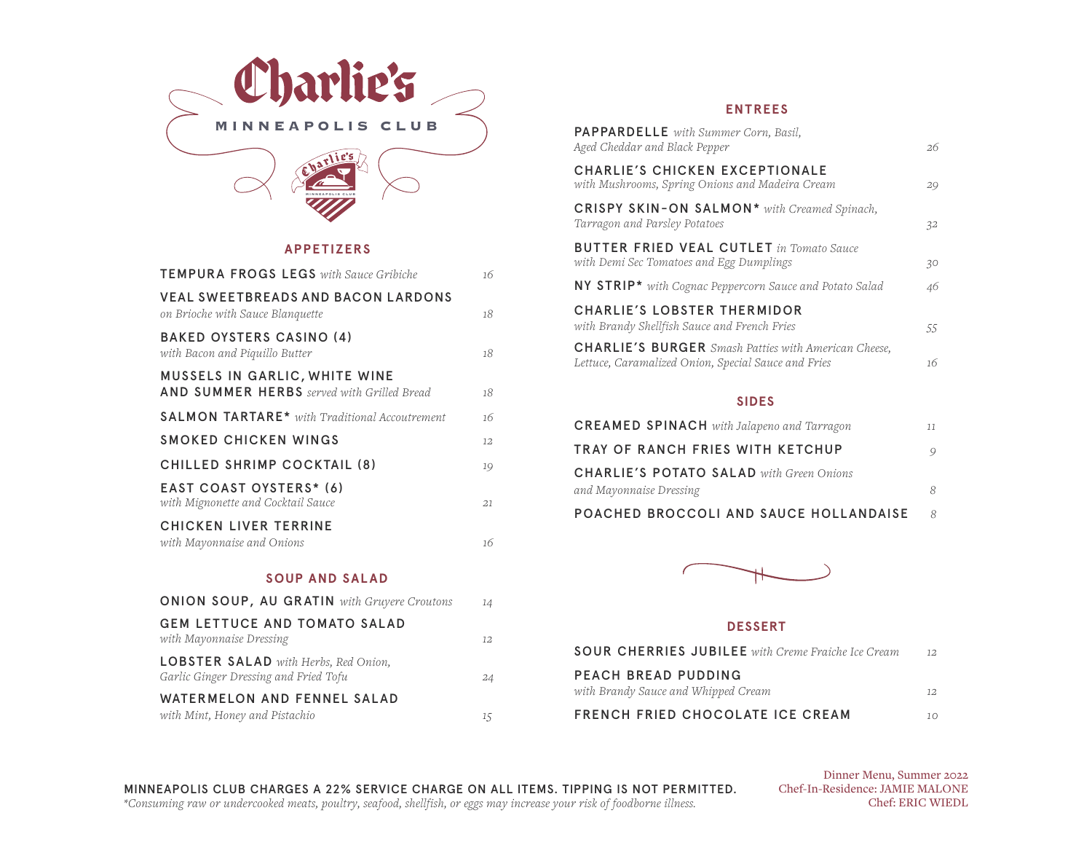

#### **APPETIZERS**

| <b>TEMPURA FROGS LEGS</b> with Sauce Gribiche                                             | 16      |
|-------------------------------------------------------------------------------------------|---------|
| <b>VEAL SWEETBREADS AND BACON LARDONS</b><br>on Brioche with Sauce Blanquette             | 18      |
| <b>BAKED OYSTERS CASINO (4)</b><br>with Bacon and Piquillo Butter                         | 18      |
| <b>MUSSELS IN GARLIC, WHITE WINE</b><br><b>AND SUMMER HERBS</b> served with Grilled Bread | 18      |
| <b>SALMON TARTARE*</b> with Traditional Accoutrement                                      | 16      |
| SMOKED CHICKEN WINGS                                                                      | $12 \,$ |
| CHILLED SHRIMP COCKTAIL (8)                                                               | 19      |
| EAST COAST OYSTERS* (6)<br>with Mignonette and Cocktail Sauce                             | 21      |
| <b>CHICKEN LIVER TERRINE</b><br>with Mayonnaise and Onions                                | 16      |

#### **SOUP AND SALAD**

| <b>ONION SOUP, AU GRATIN</b> with Gruyere Croutons                                   | 14 |
|--------------------------------------------------------------------------------------|----|
| <b>GEM LETTUCE AND TOMATO SALAD</b><br>with Mayonnaise Dressing                      | 12 |
| <b>LOBSTER SALAD</b> with Herbs, Red Onion,<br>Garlic Ginger Dressing and Fried Tofu | 24 |
| WATERMELON AND FENNEL SALAD                                                          |    |
| with Mint, Honey and Pistachio                                                       | 15 |

#### **ENTREES**

| <b>PAPPARDELLE</b> with Summer Corn, Basil,<br>Aged Cheddar and Black Pepper                                       | 26 |
|--------------------------------------------------------------------------------------------------------------------|----|
| <b>CHARLIE'S CHICKEN EXCEPTIONALE</b><br>with Mushrooms, Spring Onions and Madeira Cream                           | 29 |
| CRISPY SKIN-ON SALMON <sup>*</sup> with Creamed Spinach,<br>Tarragon and Parsley Potatoes                          | 32 |
| <b>BUTTER FRIED VEAL CUTLET</b> in Tomato Sauce<br>with Demi Sec Tomatoes and Egg Dumplings                        | 30 |
| NY STRIP* with Cognac Peppercorn Sauce and Potato Salad                                                            | 46 |
| <b>CHARLIE'S LOBSTER THERMIDOR</b><br>with Brandy Shellfish Sauce and French Fries                                 | 55 |
| <b>CHARLIE'S BURGER</b> Smash Patties with American Cheese,<br>Lettuce, Caramalized Onion, Special Sauce and Fries | 16 |
|                                                                                                                    |    |

#### **SIDES**

| <b>CREAMED SPINACH</b> with Jalapeno and Tarragon | 77 |
|---------------------------------------------------|----|
| TRAY OF RANCH FRIES WITH KETCHUP                  | 9  |
| <b>CHARLIE'S POTATO SALAD</b> with Green Onions   |    |
| and Mayonnaise Dressing                           | 8  |
| POACHED BROCCOLI AND SAUCE HOLLANDAISE            | R  |



#### **DESSERT**

| <b>SOUR CHERRIES JUBILEE</b> with Creme Fraiche Ice Cream  | 12.       |
|------------------------------------------------------------|-----------|
| PEACH BREAD PUDDING<br>with Brandy Sauce and Whipped Cream | 12.       |
| <b>FRENCH FRIED CHOCOLATE ICE CREAM</b>                    | $10^{-1}$ |